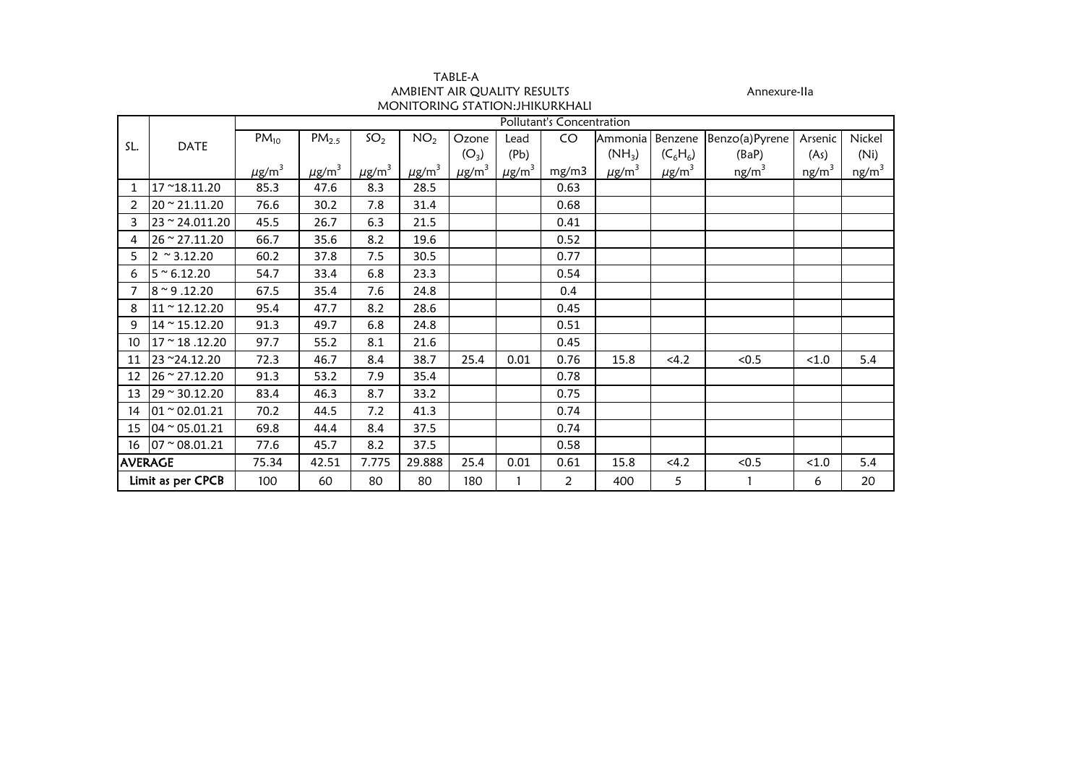| TABLE-A                         |
|---------------------------------|
| AMBIENT AIR OUALITY RESULTS     |
| MONITORING STATION: JHIKURKHALI |

Annexure-IIa<br>Ali

|                 |                                     | Pollutant's Concentration |                        |                        |                        |                        |                        |                |                        |                        |                   |                   |                   |  |
|-----------------|-------------------------------------|---------------------------|------------------------|------------------------|------------------------|------------------------|------------------------|----------------|------------------------|------------------------|-------------------|-------------------|-------------------|--|
|                 |                                     | $PM_{10}$                 | PM <sub>2.5</sub>      | SO <sub>2</sub>        | NO <sub>2</sub>        | Ozone                  | Lead                   | CO             | Ammonia                | Benzene                | Benzo(a)Pyrene    | Arsenic           | Nickel            |  |
| SL.             | DATE                                |                           |                        |                        |                        | $(O_3)$                | (Pb)                   |                | $(NH_3)$               | $(C_6H_6)$             | (BaP)             | (As)              | (Ni)              |  |
|                 |                                     | $\mu$ g/m <sup>3</sup>    | $\mu$ g/m <sup>3</sup> | $\mu$ g/m <sup>3</sup> | $\mu$ g/m <sup>3</sup> | $\mu$ g/m <sup>3</sup> | $\mu$ g/m <sup>3</sup> | mg/m3          | $\mu$ g/m <sup>3</sup> | $\mu$ g/m <sup>3</sup> | ng/m <sup>3</sup> | ng/m <sup>3</sup> | ng/m <sup>3</sup> |  |
| $\mathbf{1}$    | 17~18.11.20                         | 85.3                      | 47.6                   | 8.3                    | 28.5                   |                        |                        | 0.63           |                        |                        |                   |                   |                   |  |
| $\overline{2}$  | $20 \approx 21.11.20$               | 76.6                      | 30.2                   | 7.8                    | 31.4                   |                        |                        | 0.68           |                        |                        |                   |                   |                   |  |
| 3               | 23 ~ 24.011.20                      | 45.5                      | 26.7                   | 6.3                    | 21.5                   |                        |                        | 0.41           |                        |                        |                   |                   |                   |  |
| 4               | 26 ~ 27.11.20                       | 66.7                      | 35.6                   | 8.2                    | 19.6                   |                        |                        | 0.52           |                        |                        |                   |                   |                   |  |
| 5.              | $2 \approx 3.12.20$                 | 60.2                      | 37.8                   | 7.5                    | 30.5                   |                        |                        | 0.77           |                        |                        |                   |                   |                   |  |
| 6               | $5~^{\circ}$ 6.12.20                | 54.7                      | 33.4                   | 6.8                    | 23.3                   |                        |                        | 0.54           |                        |                        |                   |                   |                   |  |
| 7               | $8 \sim 9.12.20$                    | 67.5                      | 35.4                   | 7.6                    | 24.8                   |                        |                        | 0.4            |                        |                        |                   |                   |                   |  |
| 8               | $11 \approx 12.12.20$               | 95.4                      | 47.7                   | 8.2                    | 28.6                   |                        |                        | 0.45           |                        |                        |                   |                   |                   |  |
| 9               | $14 \approx 15.12.20$               | 91.3                      | 49.7                   | 6.8                    | 24.8                   |                        |                        | 0.51           |                        |                        |                   |                   |                   |  |
| 10              | $17 \approx 18.12.20$               | 97.7                      | 55.2                   | 8.1                    | 21.6                   |                        |                        | 0.45           |                        |                        |                   |                   |                   |  |
|                 | 11 23 ~24.12.20                     | 72.3                      | 46.7                   | 8.4                    | 38.7                   | 25.4                   | 0.01                   | 0.76           | 15.8                   | < 4.2                  | < 0.5             | < 1.0             | 5.4               |  |
| 12 <sup>1</sup> | $26 \approx 27.12.20$               | 91.3                      | 53.2                   | 7.9                    | 35.4                   |                        |                        | 0.78           |                        |                        |                   |                   |                   |  |
|                 | $13 \overline{29} \approx 30.12.20$ | 83.4                      | 46.3                   | 8.7                    | 33.2                   |                        |                        | 0.75           |                        |                        |                   |                   |                   |  |
|                 | $14$ 01 ~ 02.01.21                  | 70.2                      | 44.5                   | 7.2                    | 41.3                   |                        |                        | 0.74           |                        |                        |                   |                   |                   |  |
|                 | $15 \ 04 \approx 05.01.21$          | 69.8                      | 44.4                   | 8.4                    | 37.5                   |                        |                        | 0.74           |                        |                        |                   |                   |                   |  |
|                 | $16$ 07 $\approx$ 08.01.21          | 77.6                      | 45.7                   | 8.2                    | 37.5                   |                        |                        | 0.58           |                        |                        |                   |                   |                   |  |
| <b>AVERAGE</b>  |                                     | 75.34                     | 42.51                  | 7.775                  | 29.888                 | 25.4                   | 0.01                   | 0.61           | 15.8                   | <4.2                   | < 0.5             | < 1.0             | 5.4               |  |
|                 | Limit as per CPCB                   | 100                       | 60                     | 80                     | 80                     | 180                    |                        | $\overline{a}$ | 400                    | 5                      |                   | 6                 | 20                |  |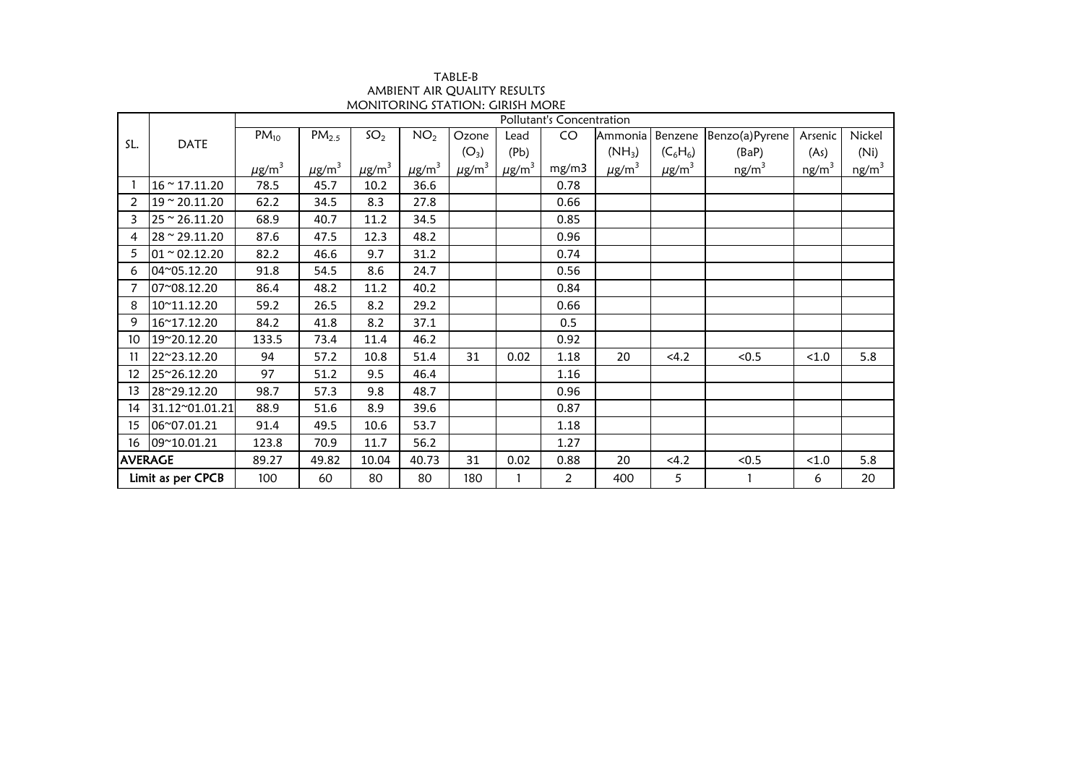| TABLE-B                                |
|----------------------------------------|
| AMBIENT AIR OUALITY RESULTS            |
| <b>MONITORING STATION: GIRISH MORE</b> |

|                 | <b>DATE</b>           | Pollutant's Concentration |                        |                        |                        |                        |                        |       |                        |                        |                   |          |                   |  |
|-----------------|-----------------------|---------------------------|------------------------|------------------------|------------------------|------------------------|------------------------|-------|------------------------|------------------------|-------------------|----------|-------------------|--|
| SL.             |                       | $PM_{10}$                 | PM <sub>2.5</sub>      | SO <sub>2</sub>        | NO <sub>2</sub>        | Ozone                  | Lead                   | CO    | Ammonia                | Benzene                | Benzo(a)Pyrene    | Arsenic  | Nickel            |  |
|                 |                       |                           |                        |                        |                        | $(O_3)$                | (Pb)                   |       | $(NH_3)$               | $(C_6H_6)$             | (BaP)             | (As)     | (Ni)              |  |
|                 |                       | $\mu$ g/m <sup>3</sup>    | $\mu$ g/m <sup>3</sup> | $\mu$ g/m <sup>3</sup> | $\mu$ g/m <sup>3</sup> | $\mu$ g/m <sup>3</sup> | $\mu$ g/m <sup>3</sup> | mg/m3 | $\mu$ g/m <sup>3</sup> | $\mu$ g/m <sup>3</sup> | ng/m <sup>3</sup> | $ng/m^3$ | ng/m <sup>3</sup> |  |
|                 | $16 \approx 17.11.20$ | 78.5                      | 45.7                   | 10.2                   | 36.6                   |                        |                        | 0.78  |                        |                        |                   |          |                   |  |
| $\overline{2}$  | 19 ~ 20.11.20         | 62.2                      | 34.5                   | 8.3                    | 27.8                   |                        |                        | 0.66  |                        |                        |                   |          |                   |  |
| 3               | $25$ ~ 26.11.20       | 68.9                      | 40.7                   | 11.2                   | 34.5                   |                        |                        | 0.85  |                        |                        |                   |          |                   |  |
| 4               | 28 ~ 29.11.20         | 87.6                      | 47.5                   | 12.3                   | 48.2                   |                        |                        | 0.96  |                        |                        |                   |          |                   |  |
| 5               | $01 - 02.12.20$       | 82.2                      | 46.6                   | 9.7                    | 31.2                   |                        |                        | 0.74  |                        |                        |                   |          |                   |  |
| 6               | 04~05.12.20           | 91.8                      | 54.5                   | 8.6                    | 24.7                   |                        |                        | 0.56  |                        |                        |                   |          |                   |  |
|                 | 07~08.12.20           | 86.4                      | 48.2                   | 11.2                   | 40.2                   |                        |                        | 0.84  |                        |                        |                   |          |                   |  |
| 8               | 10~11.12.20           | 59.2                      | 26.5                   | 8.2                    | 29.2                   |                        |                        | 0.66  |                        |                        |                   |          |                   |  |
| 9               | 16~17.12.20           | 84.2                      | 41.8                   | 8.2                    | 37.1                   |                        |                        | 0.5   |                        |                        |                   |          |                   |  |
| 10              | 19~20.12.20           | 133.5                     | 73.4                   | 11.4                   | 46.2                   |                        |                        | 0.92  |                        |                        |                   |          |                   |  |
| 11              | 22~23.12.20           | 94                        | 57.2                   | 10.8                   | 51.4                   | 31                     | 0.02                   | 1.18  | 20                     | 4.2                    | < 0.5             | < 1.0    | 5.8               |  |
| 12 <sup>°</sup> | 25~26.12.20           | 97                        | 51.2                   | 9.5                    | 46.4                   |                        |                        | 1.16  |                        |                        |                   |          |                   |  |
| 13              | 28~29.12.20           | 98.7                      | 57.3                   | 9.8                    | 48.7                   |                        |                        | 0.96  |                        |                        |                   |          |                   |  |
| 14              | 31.12~01.01.21        | 88.9                      | 51.6                   | 8.9                    | 39.6                   |                        |                        | 0.87  |                        |                        |                   |          |                   |  |
| 15              | 06~07.01.21           | 91.4                      | 49.5                   | 10.6                   | 53.7                   |                        |                        | 1.18  |                        |                        |                   |          |                   |  |
|                 | 16 09~10.01.21        | 123.8                     | 70.9                   | 11.7                   | 56.2                   |                        |                        | 1.27  |                        |                        |                   |          |                   |  |
|                 | <b>AVERAGE</b>        | 89.27                     | 49.82                  | 10.04                  | 40.73                  | 31                     | 0.02                   | 0.88  | 20                     | 4.2                    | < 0.5             | < 1.0    | 5.8               |  |
|                 | Limit as per CPCB     | 100                       | 60                     | 80                     | 80                     | 180                    |                        | 2     | 400                    | 5                      |                   | 6        | 20                |  |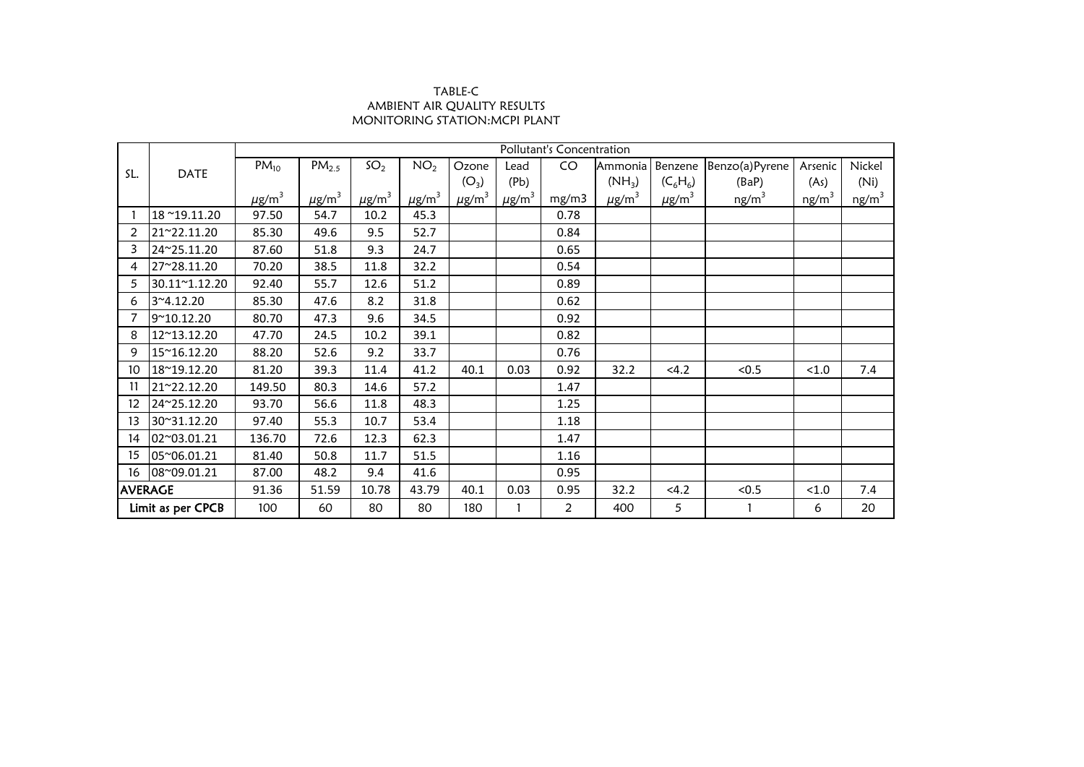## TABLE-C AMBIENT AIR QUALITY RESULTS MONITORING STATION:MCPI PLANT

|                   | <b>DATE</b>   | Pollutant's Concentration |                        |                        |                        |                        |                        |                |                        |                        |                   |                   |          |  |
|-------------------|---------------|---------------------------|------------------------|------------------------|------------------------|------------------------|------------------------|----------------|------------------------|------------------------|-------------------|-------------------|----------|--|
| SL.               |               | $PM_{10}$                 | PM <sub>2.5</sub>      | SO <sub>2</sub>        | NO <sub>2</sub>        | Ozone                  | Lead                   | CO             | Ammonia                | Benzene                | Benzo(a)Pyrene    | Arsenic           | Nickel   |  |
|                   |               |                           |                        |                        |                        | $(O_3)$                | (Pb)                   |                | $(NH_3)$               | $(C_6H_6)$             | (BaP)             | (As)              | (Ni)     |  |
|                   |               | $\mu$ g/m <sup>3</sup>    | $\mu$ g/m <sup>3</sup> | $\mu$ g/m <sup>3</sup> | $\mu$ g/m <sup>3</sup> | $\mu$ g/m <sup>3</sup> | $\mu$ g/m <sup>3</sup> | mg/m3          | $\mu$ g/m <sup>3</sup> | $\mu$ g/m <sup>3</sup> | ng/m <sup>3</sup> | ng/m <sup>3</sup> | $ng/m^3$ |  |
|                   | 18~19.11.20   | 97.50                     | 54.7                   | 10.2                   | 45.3                   |                        |                        | 0.78           |                        |                        |                   |                   |          |  |
| 2                 | 21~22.11.20   | 85.30                     | 49.6                   | 9.5                    | 52.7                   |                        |                        | 0.84           |                        |                        |                   |                   |          |  |
| 3                 | 24~25.11.20   | 87.60                     | 51.8                   | 9.3                    | 24.7                   |                        |                        | 0.65           |                        |                        |                   |                   |          |  |
| 4                 | 27~28.11.20   | 70.20                     | 38.5                   | 11.8                   | 32.2                   |                        |                        | 0.54           |                        |                        |                   |                   |          |  |
| 5                 | 30.11~1.12.20 | 92.40                     | 55.7                   | 12.6                   | 51.2                   |                        |                        | 0.89           |                        |                        |                   |                   |          |  |
| 6                 | 3~4.12.20     | 85.30                     | 47.6                   | 8.2                    | 31.8                   |                        |                        | 0.62           |                        |                        |                   |                   |          |  |
|                   | 9~10.12.20    | 80.70                     | 47.3                   | 9.6                    | 34.5                   |                        |                        | 0.92           |                        |                        |                   |                   |          |  |
| 8                 | 12~13.12.20   | 47.70                     | 24.5                   | 10.2                   | 39.1                   |                        |                        | 0.82           |                        |                        |                   |                   |          |  |
| 9                 | 15~16.12.20   | 88.20                     | 52.6                   | 9.2                    | 33.7                   |                        |                        | 0.76           |                        |                        |                   |                   |          |  |
| 10                | 18~19.12.20   | 81.20                     | 39.3                   | 11.4                   | 41.2                   | 40.1                   | 0.03                   | 0.92           | 32.2                   | <4.2                   | < 0.5             | < 1.0             | 7.4      |  |
| 11                | 21~22.12.20   | 149.50                    | 80.3                   | 14.6                   | 57.2                   |                        |                        | 1.47           |                        |                        |                   |                   |          |  |
| 12                | 24~25.12.20   | 93.70                     | 56.6                   | 11.8                   | 48.3                   |                        |                        | 1.25           |                        |                        |                   |                   |          |  |
| 13                | 30~31.12.20   | 97.40                     | 55.3                   | 10.7                   | 53.4                   |                        |                        | 1.18           |                        |                        |                   |                   |          |  |
| 14                | 02~03.01.21   | 136.70                    | 72.6                   | 12.3                   | 62.3                   |                        |                        | 1.47           |                        |                        |                   |                   |          |  |
| 15                | 05~06.01.21   | 81.40                     | 50.8                   | 11.7                   | 51.5                   |                        |                        | 1.16           |                        |                        |                   |                   |          |  |
| 16                | 08~09.01.21   | 87.00                     | 48.2                   | 9.4                    | 41.6                   |                        |                        | 0.95           |                        |                        |                   |                   |          |  |
| <b>AVERAGE</b>    |               | 91.36                     | 51.59                  | 10.78                  | 43.79                  | 40.1                   | 0.03                   | 0.95           | 32.2                   | 4.2                    | < 0.5             | < 1.0             | 7.4      |  |
| Limit as per CPCB |               | 100                       | 60                     | 80                     | 80                     | 180                    |                        | $\overline{2}$ | 400                    | 5                      |                   | 6                 | 20       |  |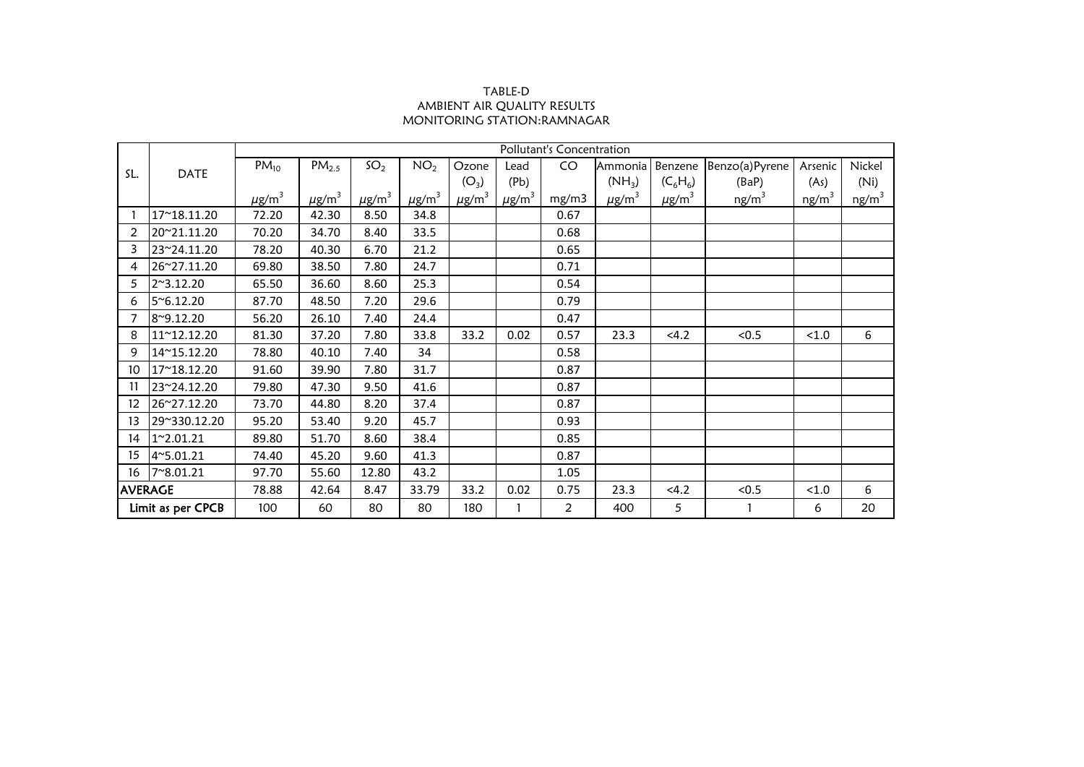## TABLE-D AMBIENT AIR QUALITY RESULTS MONITORING STATION:RAMNAGAR

|                   |                    |                        |                        |                        |                        |                        |                        | Pollutant's Concentration |                        |                        |                   |                   |                   |
|-------------------|--------------------|------------------------|------------------------|------------------------|------------------------|------------------------|------------------------|---------------------------|------------------------|------------------------|-------------------|-------------------|-------------------|
| SL.               |                    | $PM_{10}$              | $PM_{2.5}$             | SO <sub>2</sub>        | NO <sub>2</sub>        | Ozone                  | Lead                   | CO                        | Ammonia                | Benzene                | Benzo(a)Pyrene    | Arsenic           | Nickel            |
|                   | <b>DATE</b>        |                        |                        |                        |                        | $(O_3)$                | (Pb)                   |                           | $(NH_3)$               | $(C_6H_6)$             | (BaP)             | (As)              | (Ni)              |
|                   |                    | $\mu$ g/m <sup>3</sup> | $\mu$ g/m <sup>3</sup> | $\mu$ g/m <sup>3</sup> | $\mu$ g/m <sup>3</sup> | $\mu$ g/m <sup>3</sup> | $\mu$ g/m <sup>3</sup> | mg/m3                     | $\mu$ g/m <sup>3</sup> | $\mu$ g/m <sup>3</sup> | ng/m <sup>3</sup> | ng/m <sup>3</sup> | ng/m <sup>3</sup> |
|                   | 17~18.11.20        | 72.20                  | 42.30                  | 8.50                   | 34.8                   |                        |                        | 0.67                      |                        |                        |                   |                   |                   |
| $\overline{2}$    | 20~21.11.20        | 70.20                  | 34.70                  | 8.40                   | 33.5                   |                        |                        | 0.68                      |                        |                        |                   |                   |                   |
| 3                 | 23~24.11.20        | 78.20                  | 40.30                  | 6.70                   | 21.2                   |                        |                        | 0.65                      |                        |                        |                   |                   |                   |
| 4                 | 26~27.11.20        | 69.80                  | 38.50                  | 7.80                   | 24.7                   |                        |                        | 0.71                      |                        |                        |                   |                   |                   |
| 5                 | 2~3.12.20          | 65.50                  | 36.60                  | 8.60                   | 25.3                   |                        |                        | 0.54                      |                        |                        |                   |                   |                   |
| 6                 | $5^{\circ}6.12.20$ | 87.70                  | 48.50                  | 7.20                   | 29.6                   |                        |                        | 0.79                      |                        |                        |                   |                   |                   |
| 7                 | 8~9.12.20          | 56.20                  | 26.10                  | 7.40                   | 24.4                   |                        |                        | 0.47                      |                        |                        |                   |                   |                   |
| 8                 | 11~12.12.20        | 81.30                  | 37.20                  | 7.80                   | 33.8                   | 33.2                   | 0.02                   | 0.57                      | 23.3                   | <4.2                   | < 0.5             | < 1.0             | 6                 |
| 9                 | 14~15.12.20        | 78.80                  | 40.10                  | 7.40                   | 34                     |                        |                        | 0.58                      |                        |                        |                   |                   |                   |
| 10                | 17~18.12.20        | 91.60                  | 39.90                  | 7.80                   | 31.7                   |                        |                        | 0.87                      |                        |                        |                   |                   |                   |
| 11                | 23~24.12.20        | 79.80                  | 47.30                  | 9.50                   | 41.6                   |                        |                        | 0.87                      |                        |                        |                   |                   |                   |
| 12                | 26~27.12.20        | 73.70                  | 44.80                  | 8.20                   | 37.4                   |                        |                        | 0.87                      |                        |                        |                   |                   |                   |
| 13                | 29~330.12.20       | 95.20                  | 53.40                  | 9.20                   | 45.7                   |                        |                        | 0.93                      |                        |                        |                   |                   |                   |
| 14                | 1~2.01.21          | 89.80                  | 51.70                  | 8.60                   | 38.4                   |                        |                        | 0.85                      |                        |                        |                   |                   |                   |
| 15                | 4~5.01.21          | 74.40                  | 45.20                  | 9.60                   | 41.3                   |                        |                        | 0.87                      |                        |                        |                   |                   |                   |
| 16                | 7~8.01.21          | 97.70                  | 55.60                  | 12.80                  | 43.2                   |                        |                        | 1.05                      |                        |                        |                   |                   |                   |
| <b>AVERAGE</b>    |                    | 78.88                  | 42.64                  | 8.47                   | 33.79                  | 33.2                   | 0.02                   | 0.75                      | 23.3                   | 4.2                    | < 0.5             | < 1.0             | 6                 |
| Limit as per CPCB |                    | 100                    | 60                     | 80                     | 80                     | 180                    |                        | $\overline{2}$            | 400                    | 5                      |                   | 6                 | 20                |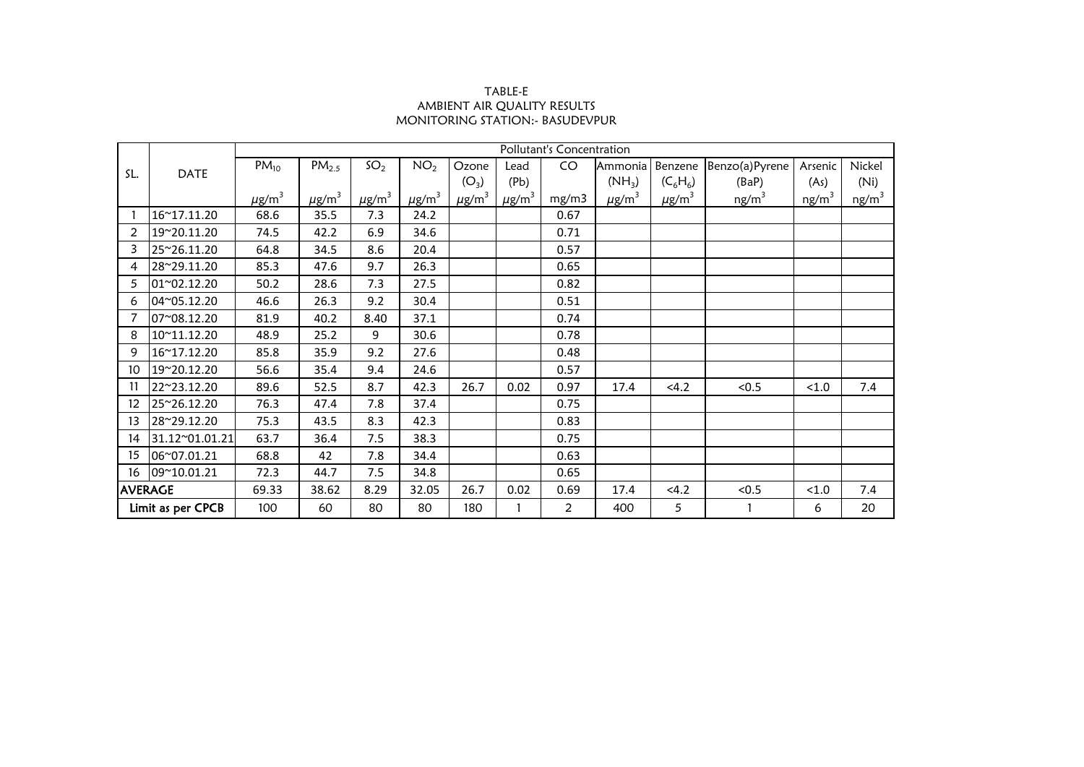## TABLE-E AMBIENT AIR QUALITY RESULTS MONITORING STATION:- BASUDEVPUR

|                   |                | Pollutant's Concentration |                        |                        |                        |                        |                        |                |                        |                        |                   |                   |                   |  |
|-------------------|----------------|---------------------------|------------------------|------------------------|------------------------|------------------------|------------------------|----------------|------------------------|------------------------|-------------------|-------------------|-------------------|--|
| SL.               |                | $PM_{10}$                 | PM <sub>2.5</sub>      | SO <sub>2</sub>        | NO <sub>2</sub>        | Ozone                  | Lead                   | CO             | Ammonia                | Benzene                | Benzo(a)Pyrene    | Arsenic           | Nickel            |  |
|                   | <b>DATE</b>    |                           |                        |                        |                        | (O <sub>3</sub> )      | (Pb)                   |                | $(NH_3)$               | $(C_6H_6)$             | (BaP)             | (As)              | (Ni)              |  |
|                   |                | $\mu$ g/m <sup>3</sup>    | $\mu$ g/m <sup>3</sup> | $\mu$ g/m <sup>3</sup> | $\mu$ g/m <sup>3</sup> | $\mu$ g/m <sup>3</sup> | $\mu$ g/m <sup>3</sup> | mg/m3          | $\mu$ g/m <sup>3</sup> | $\mu$ g/m <sup>3</sup> | ng/m <sup>3</sup> | ng/m <sup>3</sup> | ng/m <sup>3</sup> |  |
|                   | 16~17.11.20    | 68.6                      | 35.5                   | 7.3                    | 24.2                   |                        |                        | 0.67           |                        |                        |                   |                   |                   |  |
| 2                 | 19~20.11.20    | 74.5                      | 42.2                   | 6.9                    | 34.6                   |                        |                        | 0.71           |                        |                        |                   |                   |                   |  |
| 3                 | 25~26.11.20    | 64.8                      | 34.5                   | 8.6                    | 20.4                   |                        |                        | 0.57           |                        |                        |                   |                   |                   |  |
| 4                 | 28~29.11.20    | 85.3                      | 47.6                   | 9.7                    | 26.3                   |                        |                        | 0.65           |                        |                        |                   |                   |                   |  |
| 5                 | 01~02.12.20    | 50.2                      | 28.6                   | 7.3                    | 27.5                   |                        |                        | 0.82           |                        |                        |                   |                   |                   |  |
| 6                 | 04~05.12.20    | 46.6                      | 26.3                   | 9.2                    | 30.4                   |                        |                        | 0.51           |                        |                        |                   |                   |                   |  |
| 7                 | 07~08.12.20    | 81.9                      | 40.2                   | 8.40                   | 37.1                   |                        |                        | 0.74           |                        |                        |                   |                   |                   |  |
| 8                 | 10~11.12.20    | 48.9                      | 25.2                   | 9                      | 30.6                   |                        |                        | 0.78           |                        |                        |                   |                   |                   |  |
| 9                 | 16~17.12.20    | 85.8                      | 35.9                   | 9.2                    | 27.6                   |                        |                        | 0.48           |                        |                        |                   |                   |                   |  |
| 10                | 19~20.12.20    | 56.6                      | 35.4                   | 9.4                    | 24.6                   |                        |                        | 0.57           |                        |                        |                   |                   |                   |  |
| 11                | 22~23.12.20    | 89.6                      | 52.5                   | 8.7                    | 42.3                   | 26.7                   | 0.02                   | 0.97           | 17.4                   | 4.2                    | < 0.5             | < 1.0             | 7.4               |  |
| $12 \overline{ }$ | 25~26.12.20    | 76.3                      | 47.4                   | 7.8                    | 37.4                   |                        |                        | 0.75           |                        |                        |                   |                   |                   |  |
| 13                | 28~29.12.20    | 75.3                      | 43.5                   | 8.3                    | 42.3                   |                        |                        | 0.83           |                        |                        |                   |                   |                   |  |
| 14                | 31.12~01.01.21 | 63.7                      | 36.4                   | 7.5                    | 38.3                   |                        |                        | 0.75           |                        |                        |                   |                   |                   |  |
| 15                | 06~07.01.21    | 68.8                      | 42                     | 7.8                    | 34.4                   |                        |                        | 0.63           |                        |                        |                   |                   |                   |  |
| 16                | 09~10.01.21    | 72.3                      | 44.7                   | 7.5                    | 34.8                   |                        |                        | 0.65           |                        |                        |                   |                   |                   |  |
| <b>AVERAGE</b>    |                | 69.33                     | 38.62                  | 8.29                   | 32.05                  | 26.7                   | 0.02                   | 0.69           | 17.4                   | 4.2                    | < 0.5             | < 1.0             | 7.4               |  |
| Limit as per CPCB |                | 100                       | 60                     | 80                     | 80                     | 180                    |                        | $\overline{2}$ | 400                    | 5                      |                   | 6                 | 20                |  |